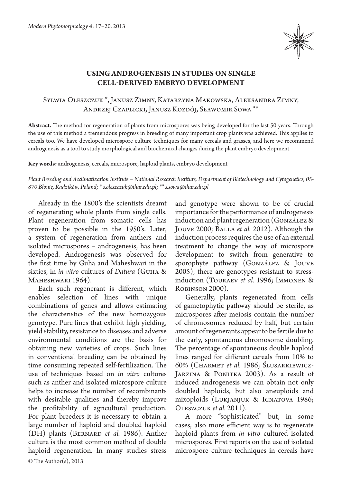

# **Using androgenesis in studies on single cell‑derived embryo development**

## Sylwia Oleszczuk \*, Janusz Zimny, Katarzyna Makowska, Aleksandra Zimny, Andrzej Czaplicki, Janusz Kozdój, Sławomir Sowa \*\*

**Abstract.** The method for regeneration of plants from microspores was being developed for the last 50 years. Through the use of this method a tremendous progress in breeding of many important crop plants was achieved. This applies to cereals too. We have developed microspore culture techniques for many cereals and grasses, and here we recommend androgenesis as a tool to study morphological and biochemical changes during the plant embryo development.

**Key words:** androgenesis, cereals, microspore, haploid plants, embryo development

*Plant Breeding and Acclimatization Institute – National Research Institute, Department of Biotechnology and Cytogenetics, 05- 870 Błonie, Radzików, Poland; \* s.oleszczuk@ihar.edu.pl; \*\* s.sowa@ihar.edu.pl*

Already in the 1800's the scientists dreamt of regenerating whole plants from single cells. Plant regeneration from somatic cells has proven to be possible in the 1950's. Later, a system of regeneration from anthers and isolated microspores – androgenesis, has been developed. Androgenesis was observed for the first time by Guha and Maheshwari in the sixties, in *in vitro* cultures of *Datura* (Guha & MAHESHWARI 1964).

Each such regenerant is different, which enables selection of lines with unique combinations of genes and allows estimating the characteristics of the new homozygous genotype. Pure lines that exhibit high yielding, yield stability, resistance to diseases and adverse environmental conditions are the basis for obtaining new varieties of crops. Such lines in conventional breeding can be obtained by time consuming repeated self-fertilization. The use of techniques based on *in vitro* cultures such as anther and isolated microspore culture helps to increase the number of recombinants with desirable qualities and thereby improve the profitability of agricultural production. For plant breeders it is necessary to obtain a large number of haploid and doubled haploid (DH) plants (Bernard *et al.* 1986). Anther culture is the most common method of double haploid regeneration. In many studies stress

and genotype were shown to be of crucial importance for the performance of androgenesis induction and plant regeneration (González & Jouve 2000; Balla *et al.* 2012). Although the induction process requires the use of an external treatment to change the way of microspore development to switch from generative to sporophyte pathway (González & Jouve 2005), there are genotypes resistant to stressinduction (Touraev *et al.* 1996; Immonen & Robinson 2000).

Generally, plants regenerated from cells of gametophytic pathway should be sterile, as microspores after meiosis contain the number of chromosomes reduced by half, but certain amount of regenerants appear to be fertile due to the early, spontaneous chromosome doubling. The percentage of spontaneous double haploid lines ranged for different cereals from 10% to 60% (Charmet *et al.* 1986; Ślusarkiewicz-JARZINA & PONITKA 2003). As a result of induced androgenesis we can obtain not only doubled haploids, but also aneuploids and mixoploids (Lukjanjuk & Ignatova 1986; Oleszczuk *et al.* 2011).

A more "sophisticated" but, in some cases, also more efficient way is to regenerate haploid plants from *in vitro* cultured isolated microspores. First reports on the use of isolated microspore culture techniques in cereals have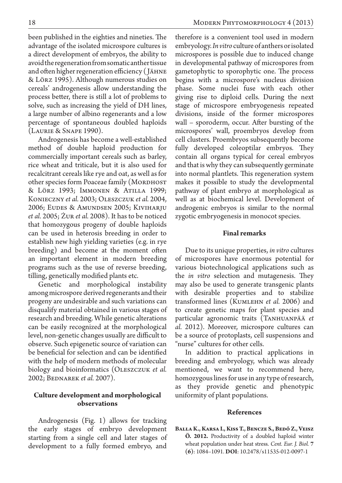been published in the eighties and nineties. The advantage of the isolated microspore cultures is a direct development of embryos, the ability to avoid the regeneration from somatic anther tissue and often higher regeneration efficiency ( Jähne & Lörz 1995). Although numerous studies on cereals' androgenesis allow understanding the process better, there is still a lot of problems to solve, such as increasing the yield of DH lines, a large number of albino regenerants and a low percentage of spontaneous doubled haploids (Laurie & Snape 1990).

Androgenesis has become a well-established method of double haploid production for commercially important cereals such as barley, rice wheat and triticale, but it is also used for recalcitrant cereals like rye and oat, as well as for other species form Poaceae family (MORDHOST & Lörz 1993; Immonen & Atilla 1999; Konieczny *et al.* 2003; Oleszczuk *et al.* 2004, 2006; Eudes & Amundsen 2005; Kiviharju *et al.* 2005; Żur *et al.* 2008). It has to be noticed that homozygous progeny of double haploids can be used in heterosis breeding in order to establish new high yielding varieties (e.g. in rye breeding) and become at the moment often an important element in modern breeding programs such as the use of reverse breeding, tilling, genetically modified plants etc.

Genetic and morphological instability among microspore derived regenerants and their progeny are undesirable and such variations can disqualify material obtained in various stages of research and breeding. While genetic alterations can be easily recognized at the morphological level, non-genetic changes usually are difficult to observe. Such epigenetic source of variation can be beneficial for selection and can be identified with the help of modern methods of molecular biology and bioinformatics (Oleszczuk *et al.*  2002; Bednarek *et al.* 2007).

## **Culture development and morphological observations**

Androgenesis (Fig. 1) allows for tracking the early stages of embryo development starting from a single cell and later stages of development to a fully formed embryo, and therefore is a convenient tool used in modern embryology. *In vitro* culture of anthers or isolated microspores is possible due to induced change in developmental pathway of microspores from gametophytic to sporophytic one. The process begins with a microspore's nucleus division phase. Some nuclei fuse with each other giving rise to diploid cells. During the next stage of microspore embryogenesis repeated divisions, inside of the former microspores wall – sporoderm, occur. After bursting of the microspores' wall, proembryos develop from cell clusters. Proembryos subsequently become fully developed coleoptilar embryos. They contain all organs typical for cereal embryos and that is why they can subsequently germinate into normal plantlets. This regeneration system makes it possible to study the developmental pathway of plant embryo at morphological as well as at biochemical level. Development of androgenic embryos is similar to the normal zygotic embryogenesis in monocot species.

### **Final remarks**

Due to its unique properties, *in vitro* cultures of microspores have enormous potential for various biotechnological applications such as the *in vitro* selection and mutagenesis. They may also be used to generate transgenic plants with desirable properties and to stabilize transformed lines (Kumlehn *et al.* 2006) and to create genetic maps for plant species and particular agronomic traits (Tanhuanpää *et al.* 2012). Moreover, microspore cultures can be a source of protoplasts, cell suspensions and "nurse" cultures for other cells.

In addition to practical applications in breeding and embryology, which was already mentioned, we want to recommend here, homozygous lines for use in any type of research, as they provide genetic and phenotypic uniformity of plant populations.

#### **References**

**Balla K., Karsa I., Kiss T., Bencze S., Bedő Z., Veisz Ö. 2012.** Productivity of a doubled haploid winter wheat population under heat stress. *Cent. Eur. J. Biol.* **7 (6)**: 1084–1091. **DOI**: 10.2478/s11535-012-0097-1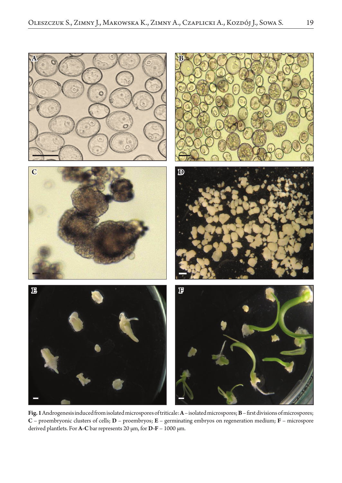

**Fig. 1** Androgenesis induced from isolated microspores of triticale: **A** – isolated microspores; **B** – first divisions of microspores; **C** – proembryonic clusters of cells; **D** – proembryos; **E** – germinating embryos on regeneration medium; **F** – microspore derived plantlets. For **A-C** bar represents 20 µm, for **D-F** – 1000 µm.